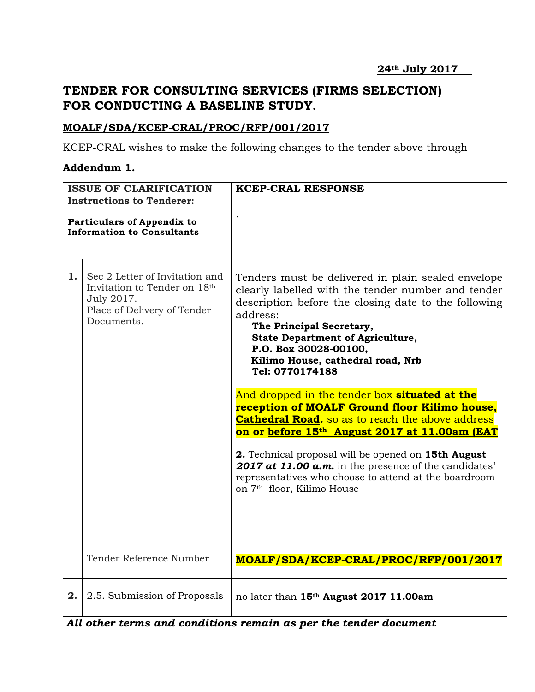## **TENDER FOR CONSULTING SERVICES (FIRMS SELECTION) FOR CONDUCTING A BASELINE STUDY.**

## **MOALF/SDA/KCEP-CRAL/PROC/RFP/001/2017**

KCEP-CRAL wishes to make the following changes to the tender above through

## **Addendum 1.**

| <b>ISSUE OF CLARIFICATION</b>                                                                              |                                                                                                                           | <b>KCEP-CRAL RESPONSE</b>                                                                                                                                                                                                                                                                                                                                                                                                                                                                                                                                                                                                                                                                                                                                 |
|------------------------------------------------------------------------------------------------------------|---------------------------------------------------------------------------------------------------------------------------|-----------------------------------------------------------------------------------------------------------------------------------------------------------------------------------------------------------------------------------------------------------------------------------------------------------------------------------------------------------------------------------------------------------------------------------------------------------------------------------------------------------------------------------------------------------------------------------------------------------------------------------------------------------------------------------------------------------------------------------------------------------|
| <b>Instructions to Tenderer:</b><br><b>Particulars of Appendix to</b><br><b>Information to Consultants</b> |                                                                                                                           |                                                                                                                                                                                                                                                                                                                                                                                                                                                                                                                                                                                                                                                                                                                                                           |
| 1.                                                                                                         | Sec 2 Letter of Invitation and<br>Invitation to Tender on 18th<br>July 2017.<br>Place of Delivery of Tender<br>Documents. | Tenders must be delivered in plain sealed envelope<br>clearly labelled with the tender number and tender<br>description before the closing date to the following<br>address:<br>The Principal Secretary,<br><b>State Department of Agriculture,</b><br>P.O. Box 30028-00100,<br>Kilimo House, cathedral road, Nrb<br>Tel: 0770174188<br>And dropped in the tender box situated at the<br>reception of MOALF Ground floor Kilimo house,<br><b>Cathedral Road.</b> so as to reach the above address<br>on or before 15th August 2017 at 11.00am (EAT<br>2. Technical proposal will be opened on 15th August<br>2017 at 11.00 a.m. in the presence of the candidates'<br>representatives who choose to attend at the boardroom<br>on 7th floor, Kilimo House |
|                                                                                                            | Tender Reference Number                                                                                                   | MOALF/SDA/KCEP-CRAL/PROC/RFP/001/2017                                                                                                                                                                                                                                                                                                                                                                                                                                                                                                                                                                                                                                                                                                                     |
| 2.                                                                                                         | 2.5. Submission of Proposals                                                                                              | no later than 15th August 2017 11.00am                                                                                                                                                                                                                                                                                                                                                                                                                                                                                                                                                                                                                                                                                                                    |

*All other terms and conditions remain as per the tender document*